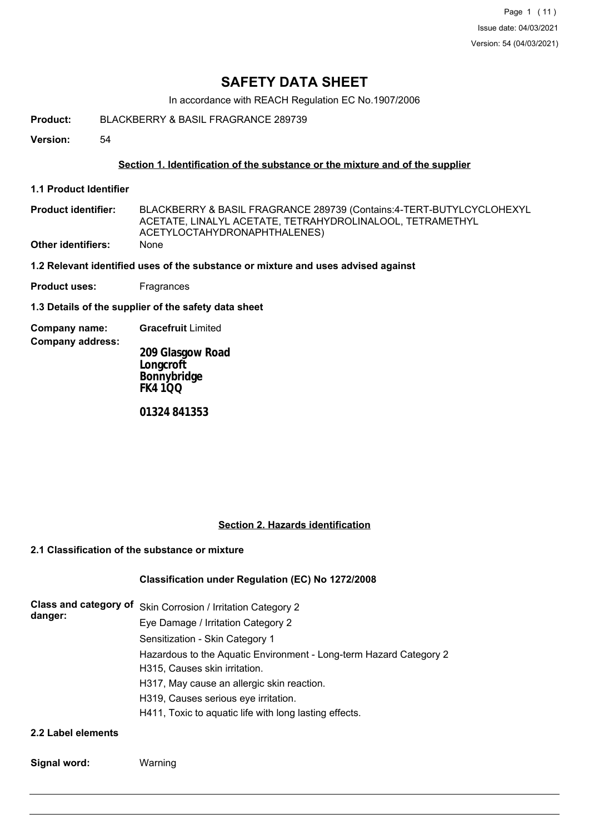# **SAFETY DATA SHEET**

In accordance with REACH Regulation EC No.1907/2006

- **Product:** BLACKBERRY & BASIL FRAGRANCE 289739
- **Version:** 54

#### **Section 1. Identification of the substance or the mixture and of the supplier**

**1.1 Product Identifier**

**Company address:**

- BLACKBERRY & BASIL FRAGRANCE 289739 (Contains:4-TERT-BUTYLCYCLOHEXYL ACETATE, LINALYL ACETATE, TETRAHYDROLINALOOL, TETRAMETHYL ACETYLOCTAHYDRONAPHTHALENES) **Product identifier: Other identifiers:** None
- **1.2 Relevant identified uses of the substance or mixture and uses advised against**
- **Product uses:** Fragrances

**1.3 Details of the supplier of the safety data sheet**

**Company name: Gracefruit** Limited

**209 Glasgow Road Longcroft Bonnybridge FK4 1QQ**

**01324 841353**

#### **Section 2. Hazards identification**

#### **2.1 Classification of the substance or mixture**

#### **Classification under Regulation (EC) No 1272/2008**

| danger:             | Class and category of Skin Corrosion / Irritation Category 2                                        |  |  |  |  |
|---------------------|-----------------------------------------------------------------------------------------------------|--|--|--|--|
|                     | Eye Damage / Irritation Category 2                                                                  |  |  |  |  |
|                     | Sensitization - Skin Category 1                                                                     |  |  |  |  |
|                     | Hazardous to the Aquatic Environment - Long-term Hazard Category 2<br>H315, Causes skin irritation. |  |  |  |  |
|                     | H317, May cause an allergic skin reaction.                                                          |  |  |  |  |
|                     | H319, Causes serious eye irritation.                                                                |  |  |  |  |
|                     | H411, Toxic to aquatic life with long lasting effects.                                              |  |  |  |  |
| 22 Jahrhad Alamanta |                                                                                                     |  |  |  |  |

- **2.2 Label elements**
- **Signal word:** Warning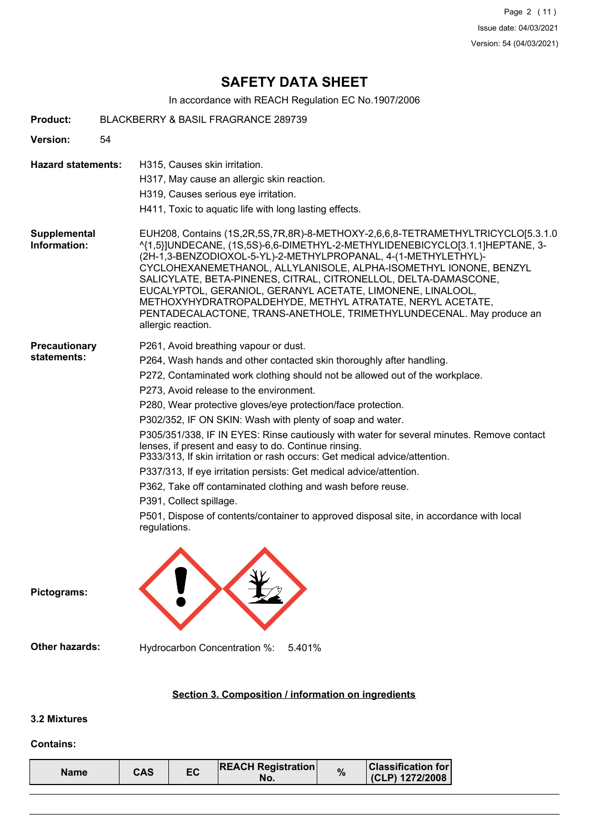Page 2 (11) Issue date: 04/03/2021 Version: 54 (04/03/2021)

# **SAFETY DATA SHEET**

In accordance with REACH Regulation EC No.1907/2006

| <b>Product:</b>              | <b>BLACKBERRY &amp; BASIL FRAGRANCE 289739</b>                                                                                                                                                                                                                                                                                                                                                                                                                                                                                                                                                                                                                                                                                                                                                                                                                                       |
|------------------------------|--------------------------------------------------------------------------------------------------------------------------------------------------------------------------------------------------------------------------------------------------------------------------------------------------------------------------------------------------------------------------------------------------------------------------------------------------------------------------------------------------------------------------------------------------------------------------------------------------------------------------------------------------------------------------------------------------------------------------------------------------------------------------------------------------------------------------------------------------------------------------------------|
| Version:                     | 54                                                                                                                                                                                                                                                                                                                                                                                                                                                                                                                                                                                                                                                                                                                                                                                                                                                                                   |
| <b>Hazard statements:</b>    | H315, Causes skin irritation.<br>H317, May cause an allergic skin reaction.<br>H319, Causes serious eye irritation.<br>H411, Toxic to aquatic life with long lasting effects.                                                                                                                                                                                                                                                                                                                                                                                                                                                                                                                                                                                                                                                                                                        |
| Supplemental<br>Information: | EUH208, Contains (1S,2R,5S,7R,8R)-8-METHOXY-2,6,6,8-TETRAMETHYLTRICYCLO[5.3.1.0<br>^{1,5}]UNDECANE, (1S,5S)-6,6-DIMETHYL-2-METHYLIDENEBICYCLO[3.1.1]HEPTANE, 3-<br>(2H-1,3-BENZODIOXOL-5-YL)-2-METHYLPROPANAL, 4-(1-METHYLETHYL)-<br>CYCLOHEXANEMETHANOL, ALLYLANISOLE, ALPHA-ISOMETHYL IONONE, BENZYL<br>SALICYLATE, BETA-PINENES, CITRAL, CITRONELLOL, DELTA-DAMASCONE,<br>EUCALYPTOL, GERANIOL, GERANYL ACETATE, LIMONENE, LINALOOL,<br>METHOXYHYDRATROPALDEHYDE, METHYL ATRATATE, NERYL ACETATE,<br>PENTADECALACTONE, TRANS-ANETHOLE, TRIMETHYLUNDECENAL. May produce an<br>allergic reaction.                                                                                                                                                                                                                                                                                   |
| Precautionary<br>statements: | P261, Avoid breathing vapour or dust.<br>P264, Wash hands and other contacted skin thoroughly after handling.<br>P272, Contaminated work clothing should not be allowed out of the workplace.<br>P273, Avoid release to the environment.<br>P280, Wear protective gloves/eye protection/face protection.<br>P302/352, IF ON SKIN: Wash with plenty of soap and water.<br>P305/351/338, IF IN EYES: Rinse cautiously with water for several minutes. Remove contact<br>lenses, if present and easy to do. Continue rinsing.<br>P333/313, If skin irritation or rash occurs: Get medical advice/attention.<br>P337/313, If eye irritation persists: Get medical advice/attention.<br>P362, Take off contaminated clothing and wash before reuse.<br>P391, Collect spillage.<br>P501, Dispose of contents/container to approved disposal site, in accordance with local<br>regulations. |
| Pictograms:                  |                                                                                                                                                                                                                                                                                                                                                                                                                                                                                                                                                                                                                                                                                                                                                                                                                                                                                      |
| <b>Other hazards:</b>        | Hydrocarbon Concentration %:<br>5.401%                                                                                                                                                                                                                                                                                                                                                                                                                                                                                                                                                                                                                                                                                                                                                                                                                                               |
|                              | Section 3. Composition / information on ingredients                                                                                                                                                                                                                                                                                                                                                                                                                                                                                                                                                                                                                                                                                                                                                                                                                                  |
| <b>3.2 Mixtures</b>          |                                                                                                                                                                                                                                                                                                                                                                                                                                                                                                                                                                                                                                                                                                                                                                                                                                                                                      |

# **Contains:**

| <b>Classification for</b><br><b>REACH Registration</b><br>$\frac{9}{6}$<br>ЕC<br>CAS<br><b>Name</b><br>$(CLP)$ 1272/2008<br>NO. |
|---------------------------------------------------------------------------------------------------------------------------------|
|---------------------------------------------------------------------------------------------------------------------------------|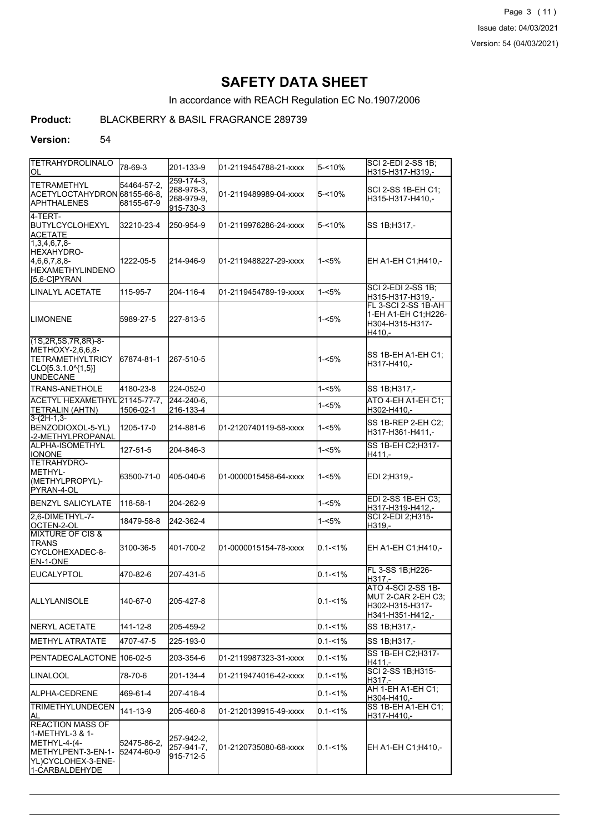Page 3 (11) Issue date: 04/03/2021 Version: 54 (04/03/2021)

# **SAFETY DATA SHEET**

In accordance with REACH Regulation EC No.1907/2006

## **Product:** BLACKBERRY & BASIL FRAGRANCE 289739

#### **Version:** 54

| <b>TETRAHYDROLINALO</b><br>ЮL                                                                                              | 78-69-3                   | 201-133-9                                                | l01-2119454788-21-xxxx | 5-<10%      | SCI 2-EDI 2-SS 1B:<br>H315-H317-H319,-                                                 |
|----------------------------------------------------------------------------------------------------------------------------|---------------------------|----------------------------------------------------------|------------------------|-------------|----------------------------------------------------------------------------------------|
| <b>ITETRAMETHYL</b><br>ACETYLOCTAHYDRON 68155-66-8.<br>IAPHTHALENES                                                        | 54464-57-2,<br>68155-67-9 | $259 - 174 - 3$<br>268-978-3.<br>268-979-9,<br>915-730-3 | l01-2119489989-04-xxxx | $5 - 10%$   | SCI 2-SS 1B-EH C1:<br>H315-H317-H410,-                                                 |
| 4-TERT-<br>IBUTYLCYCLOHEXYL<br><b>ACETATE</b>                                                                              | 32210-23-4                | 250-954-9                                                | l01-2119976286-24-xxxx | $5 - 10%$   | SS 1B;H317,-                                                                           |
| $1,3,4,6,7,8-$<br>HEXAHYDRO-<br>4,6,6,7,8,8-<br><b>I</b> HEXAMETHYLINDENO<br>$[5,6-C]PYRAN$                                | 1222-05-5                 | 214-946-9                                                | l01-2119488227-29-xxxx | 1-<5%       | EH A1-EH C1;H410,-                                                                     |
| LINALYL ACETATE                                                                                                            | 115-95-7                  | 204-116-4                                                | 01-2119454789-19-xxxx  | 1-<5%       | <b>SCI 2-EDI 2-SS 1B:</b><br>H315-H317-H319,-                                          |
| <b>ILIMONENE</b>                                                                                                           | 5989-27-5                 | 227-813-5                                                |                        | 1-<5%       | FL 3-SCI 2-SS 1B-AH<br>1-EH A1-EH C1;H226-<br>H304-H315-H317-<br>H410,-                |
| $(1S, 2R, 5S, 7R, 8R) - 8 -$<br>METHOXY-2,6,6,8-<br>TETRAMETHYLTRICY<br>$[CLO[5.3.1.0^{4}1,5]]$<br><b>IUNDECANE</b>        | 67874-81-1                | 267-510-5                                                |                        | 1-<5%       | SS 1B-EH A1-EH C1:<br>H317-H410.-                                                      |
| <b>TRANS-ANETHOLE</b>                                                                                                      | 4180-23-8                 | 224-052-0                                                |                        | 1-<5%       | SS 1B;H317,-                                                                           |
| ACETYL HEXAMETHYL 21145-77-7.<br>TETRALIN (AHTN)                                                                           | 1506-02-1                 | 244-240-6.<br>216-133-4                                  |                        | 1-<5%       | ATO 4-EH A1-EH C1;<br>H302-H410,-                                                      |
| $3-(2H-1,3-$<br>BENZODIOXOL-5-YL)<br>-2-METHYLPROPANAL                                                                     | 1205-17-0                 | 214-881-6                                                | 01-2120740119-58-xxxx  | 1-<5%       | SS 1B-REP 2-EH C2:<br>H317-H361-H411.-                                                 |
| <b>ALPHA-ISOMETHYL</b><br><b>IONONE</b>                                                                                    | 127-51-5                  | 204-846-3                                                |                        | 1-<5%       | SS 1B-EH C2; H317-<br>$H411. -$                                                        |
| TETRAHYDRO-<br>IMETHYL-<br>(METHYLPROPYL)-<br>PYRAN-4-OL                                                                   | 63500-71-0                | 405-040-6                                                | 01-0000015458-64-xxxx  | 1-<5%       | EDI 2;H319,-                                                                           |
| <b>BENZYL SALICYLATE</b>                                                                                                   | 118-58-1                  | 204-262-9                                                |                        | 1-<5%       | <b>EDI 2-SS 1B-EH C3:</b><br>H317-H319-H412,-                                          |
| 2,6-DIMETHYL-7-<br>OCTEN-2-OL<br><b>MIXTURE OF CIS &amp;</b>                                                               | 18479-58-8                | 242-362-4                                                |                        | 1-<5%       | SCI 2-EDI 2; H315-<br>H319,-                                                           |
| <b>ITRANS</b><br>CYCLOHEXADEC-8-<br>EN-1-ONE                                                                               | 3100-36-5                 | 401-700-2                                                | 01-0000015154-78-xxxx  | $0.1 - 1\%$ | EH A1-EH C1; H410,-                                                                    |
| <b>EUCALYPTOL</b>                                                                                                          | 470-82-6                  | 207-431-5                                                |                        | $0.1 - 1\%$ | FL 3-SS 1B; H226-<br>H317.-                                                            |
| IALLYLANISOLE                                                                                                              | 140-67-0                  | 205-427-8                                                |                        | $0.1 - 1\%$ | <b>ATO 4-SCI 2-SS 1B-</b><br>MUT 2-CAR 2-EH C3:<br>H302-H315-H317-<br>H341-H351-H412,- |
| <b>INERYL ACETATE</b>                                                                                                      | 141-12-8                  | 205-459-2                                                |                        | $0.1 - 1%$  | SS 1B:H317,-                                                                           |
| IMETHYL ATRATATE                                                                                                           | 4707-47-5                 | 225-193-0                                                |                        | $0.1 - 1%$  | SS 1B;H317,-                                                                           |
| IPENTADECALACTONE   106-02-5                                                                                               |                           | 203-354-6                                                | 01-2119987323-31-xxxx  | $0.1 - 1\%$ | SS 1B-EH C2; H317-<br>H411.-                                                           |
| <b>LINALOOL</b>                                                                                                            | 78-70-6                   | 201-134-4                                                | 01-2119474016-42-xxxx  | $0.1 - 1\%$ | SCI 2-SS 1B; H315-<br>H317,-                                                           |
| ALPHA-CEDRENE                                                                                                              | 469-61-4                  | 207-418-4                                                |                        | $0.1 - 1\%$ | AH 1-EH A1-EH C1:<br>H304-H410,-                                                       |
| TRIMETHYLUNDECEN<br>IAL                                                                                                    | 141-13-9                  | 205-460-8                                                | 01-2120139915-49-xxxx  | $0.1 - 1\%$ | SS 1B-EH A1-EH C1;<br>H317-H410,-                                                      |
| <b>IREACTION MASS OF</b><br> 1-METHYL-3 & 1-<br>METHYL-4-(4-<br>METHYLPENT-3-EN-1-<br>YL)CYCLOHEX-3-ENE-<br>1-CARBALDEHYDE | 52475-86-2,<br>52474-60-9 | 257-942-2,<br>257-941-7,<br>915-712-5                    | 01-2120735080-68-xxxx  | $0.1 - 1\%$ | EH A1-EH C1; H410,-                                                                    |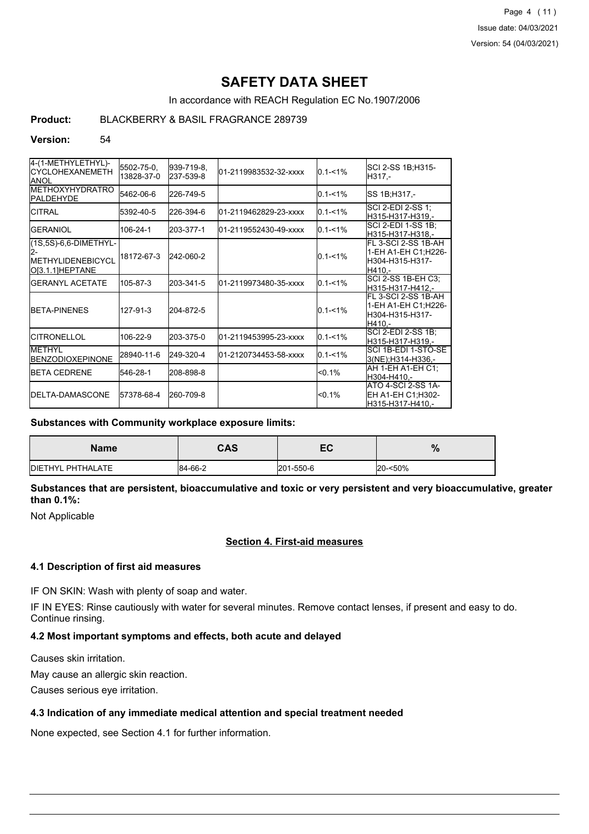Page 4 (11) Issue date: 04/03/2021 Version: 54 (04/03/2021)

# **SAFETY DATA SHEET**

In accordance with REACH Regulation EC No.1907/2006

## **Product:** BLACKBERRY & BASIL FRAGRANCE 289739

#### **Version:** 54

| 4-(1-METHYLETHYL)-<br>ICYCLOHEXANEMETH<br><b>JANOL</b>                | 5502-75-0,<br>13828-37-0 | 939-719-8,<br>237-539-8 | 01-2119983532-32-xxxx  | $0.1 - 1%$  | SCI 2-SS 1B;H315-<br>H317.-                                                |
|-----------------------------------------------------------------------|--------------------------|-------------------------|------------------------|-------------|----------------------------------------------------------------------------|
| <b>IMETHOXYHYDRATRO</b><br><b>PALDEHYDE</b>                           | 5462-06-6                | 226-749-5               |                        | $0.1 - 1\%$ | SS 1B;H317,-                                                               |
| ICITRAL                                                               | 5392-40-5                | 226-394-6               | l01-2119462829-23-xxxx | $0.1 - 1%$  | SCI 2-EDI 2-SS 1;<br>H315-H317-H319.-                                      |
| <b>GERANIOL</b>                                                       | 106-24-1                 | 203-377-1               | l01-2119552430-49-xxxx | $0.1 - 1\%$ | SCI 2-EDI 1-SS 1B;<br>lH315-H317-H318.-                                    |
| (1S,5S)-6,6-DIMETHYL-<br><b>IMETHYLIDENEBICYCL</b><br>O[3.1.1]HEPTANE | 18172-67-3               | 242-060-2               |                        | $0.1 - 1\%$ | FL 3-SCI 2-SS 1B-AH<br>1-EH A1-EH C1;H226-<br>H304-H315-H317-<br>H410.-    |
| IGERANYL ACETATE                                                      | 105-87-3                 | 203-341-5               | 01-2119973480-35-xxxx  | $0.1 - 1\%$ | ISCI 2-SS 1B-EH C3:<br>H315-H317-H412,-                                    |
| <b>IBFTA-PINENES</b>                                                  | 127-91-3                 | 204-872-5               |                        | $0.1 - 1\%$ | FL 3-SCI 2-SS 1B-AH<br>1-EH A1-EH C1; H226-<br>lH304-H315-H317-<br>IH410.- |
| <b>ICITRONELLOL</b>                                                   | 106-22-9                 | 203-375-0               | l01-2119453995-23-xxxx | $0.1 - 1\%$ | SCI 2-EDI 2-SS 1B:<br>IH315-H317-H319.-                                    |
| <b>IMETHYL</b><br><b>IBENZODIOXEPINONE</b>                            | 28940-11-6               | 249-320-4               | 01-2120734453-58-xxxx  | $0.1 - 1%$  | ISCI 1B-EDI 1-STO-SE<br>3(NE):H314-H336.-                                  |
| <b>IBETA CEDRENE</b>                                                  | 546-28-1                 | 208-898-8               |                        | $< 0.1\%$   | AH 1-EH A1-EH C1:<br>H304-H410.-                                           |
| <b>IDELTA-DAMASCONE</b>                                               | 57378-68-4               | 260-709-8               |                        | $< 0.1\%$   | ATO 4-SCI 2-SS 1A-<br>EH A1-EH C1:H302-<br>H315-H317-H410.-                |

#### **Substances with Community workplace exposure limits:**

| <b>Name</b>              | CAS     | -0<br>cu  | $\%$    |
|--------------------------|---------|-----------|---------|
| <b>DIETHYL PHTHALATE</b> | 84-66-2 | 201-550-6 | 20-<50% |

**Substances that are persistent, bioaccumulative and toxic or very persistent and very bioaccumulative, greater than 0.1%:**

Not Applicable

### **Section 4. First-aid measures**

#### **4.1 Description of first aid measures**

IF ON SKIN: Wash with plenty of soap and water.

IF IN EYES: Rinse cautiously with water for several minutes. Remove contact lenses, if present and easy to do. Continue rinsing.

## **4.2 Most important symptoms and effects, both acute and delayed**

Causes skin irritation.

May cause an allergic skin reaction.

Causes serious eye irritation.

#### **4.3 Indication of any immediate medical attention and special treatment needed**

None expected, see Section 4.1 for further information.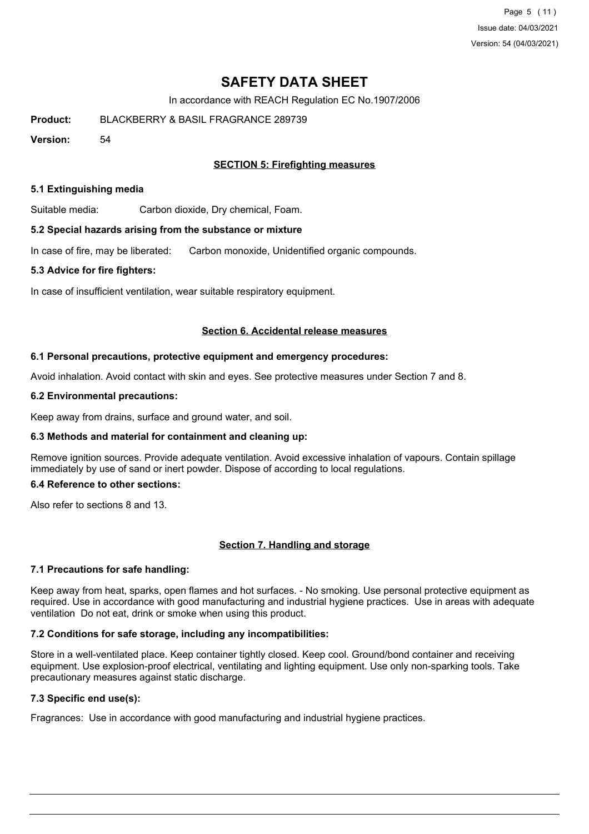Page 5 (11) Issue date: 04/03/2021 Version: 54 (04/03/2021)

# **SAFETY DATA SHEET**

In accordance with REACH Regulation EC No.1907/2006

**Product:** BLACKBERRY & BASIL FRAGRANCE 289739

**Version:** 54

### **SECTION 5: Firefighting measures**

#### **5.1 Extinguishing media**

Suitable media: Carbon dioxide, Dry chemical, Foam.

#### **5.2 Special hazards arising from the substance or mixture**

In case of fire, may be liberated: Carbon monoxide, Unidentified organic compounds.

#### **5.3 Advice for fire fighters:**

In case of insufficient ventilation, wear suitable respiratory equipment.

#### **Section 6. Accidental release measures**

#### **6.1 Personal precautions, protective equipment and emergency procedures:**

Avoid inhalation. Avoid contact with skin and eyes. See protective measures under Section 7 and 8.

#### **6.2 Environmental precautions:**

Keep away from drains, surface and ground water, and soil.

#### **6.3 Methods and material for containment and cleaning up:**

Remove ignition sources. Provide adequate ventilation. Avoid excessive inhalation of vapours. Contain spillage immediately by use of sand or inert powder. Dispose of according to local regulations.

#### **6.4 Reference to other sections:**

Also refer to sections 8 and 13.

#### **Section 7. Handling and storage**

#### **7.1 Precautions for safe handling:**

Keep away from heat, sparks, open flames and hot surfaces. - No smoking. Use personal protective equipment as required. Use in accordance with good manufacturing and industrial hygiene practices. Use in areas with adequate ventilation Do not eat, drink or smoke when using this product.

#### **7.2 Conditions for safe storage, including any incompatibilities:**

Store in a well-ventilated place. Keep container tightly closed. Keep cool. Ground/bond container and receiving equipment. Use explosion-proof electrical, ventilating and lighting equipment. Use only non-sparking tools. Take precautionary measures against static discharge.

## **7.3 Specific end use(s):**

Fragrances: Use in accordance with good manufacturing and industrial hygiene practices.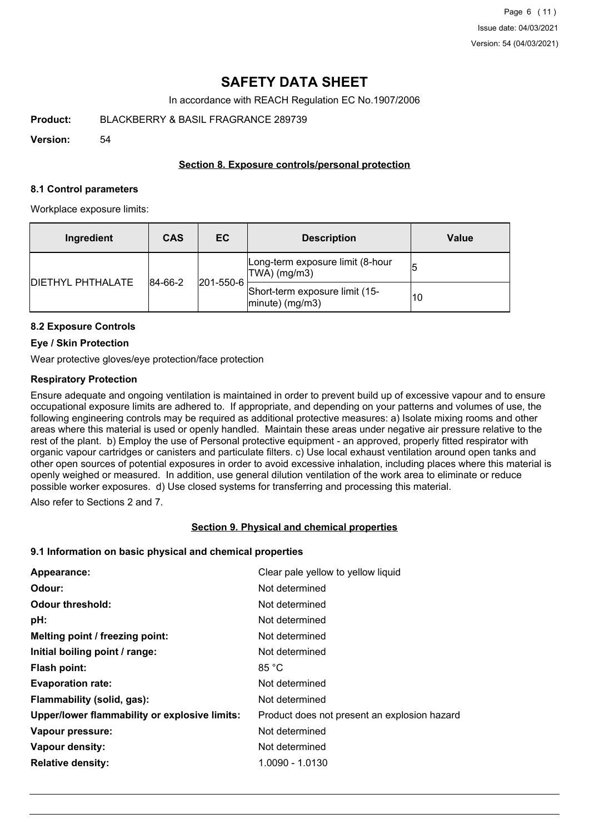# **SAFETY DATA SHEET**

In accordance with REACH Regulation EC No.1907/2006

**Product:** BLACKBERRY & BASIL FRAGRANCE 289739

**Version:** 54

### **Section 8. Exposure controls/personal protection**

#### **8.1 Control parameters**

Workplace exposure limits:

| Ingredient               | <b>CAS</b> | EC        | <b>Description</b>                                   | <b>Value</b> |
|--------------------------|------------|-----------|------------------------------------------------------|--------------|
| <b>DIETHYL PHTHALATE</b> | 84-66-2    |           | Long-term exposure limit (8-hour<br>$ TWA $ (mg/m3)  |              |
|                          |            | 201-550-6 | Short-term exposure limit (15-<br>$ minute)$ (mg/m3) | 10           |

### **8.2 Exposure Controls**

#### **Eye / Skin Protection**

Wear protective gloves/eye protection/face protection

### **Respiratory Protection**

Ensure adequate and ongoing ventilation is maintained in order to prevent build up of excessive vapour and to ensure occupational exposure limits are adhered to. If appropriate, and depending on your patterns and volumes of use, the following engineering controls may be required as additional protective measures: a) Isolate mixing rooms and other areas where this material is used or openly handled. Maintain these areas under negative air pressure relative to the rest of the plant. b) Employ the use of Personal protective equipment - an approved, properly fitted respirator with organic vapour cartridges or canisters and particulate filters. c) Use local exhaust ventilation around open tanks and other open sources of potential exposures in order to avoid excessive inhalation, including places where this material is openly weighed or measured. In addition, use general dilution ventilation of the work area to eliminate or reduce possible worker exposures. d) Use closed systems for transferring and processing this material.

Also refer to Sections 2 and 7.

#### **Section 9. Physical and chemical properties**

#### **9.1 Information on basic physical and chemical properties**

| Appearance:                                   | Clear pale yellow to yellow liquid           |
|-----------------------------------------------|----------------------------------------------|
| Odour:                                        | Not determined                               |
| <b>Odour threshold:</b>                       | Not determined                               |
| pH:                                           | Not determined                               |
| Melting point / freezing point:               | Not determined                               |
| Initial boiling point / range:                | Not determined                               |
| <b>Flash point:</b>                           | 85 °C                                        |
| <b>Evaporation rate:</b>                      | Not determined                               |
| Flammability (solid, gas):                    | Not determined                               |
| Upper/lower flammability or explosive limits: | Product does not present an explosion hazard |
| Vapour pressure:                              | Not determined                               |
| Vapour density:                               | Not determined                               |
| <b>Relative density:</b>                      | 1.0090 - 1.0130                              |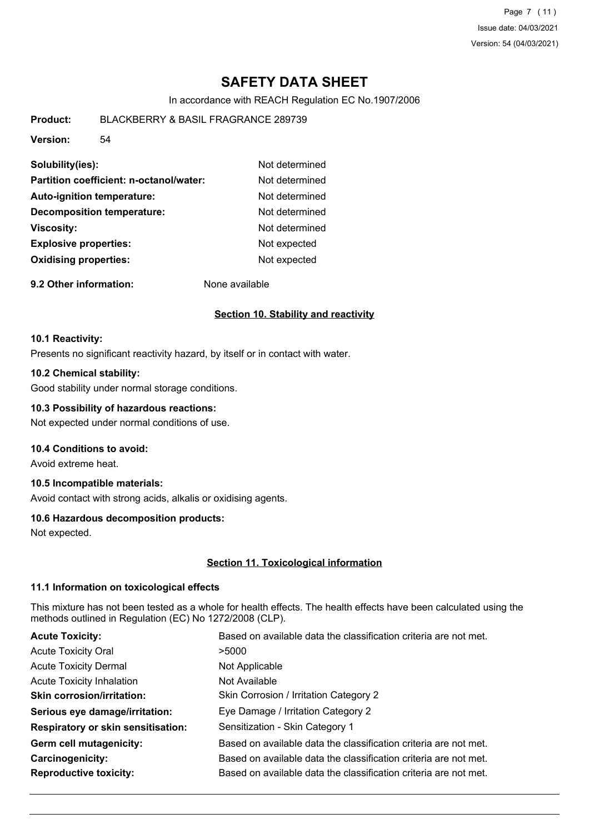Page 7 (11) Issue date: 04/03/2021 Version: 54 (04/03/2021)

# **SAFETY DATA SHEET**

In accordance with REACH Regulation EC No.1907/2006

**Product:** BLACKBERRY & BASIL FRAGRANCE 289739

**Version:** 54

| Solubility(ies):                        | Not determined |
|-----------------------------------------|----------------|
| Partition coefficient: n-octanol/water: | Not determined |
| <b>Auto-ignition temperature:</b>       | Not determined |
| <b>Decomposition temperature:</b>       | Not determined |
| <b>Viscosity:</b>                       | Not determined |
| <b>Explosive properties:</b>            | Not expected   |
| <b>Oxidising properties:</b>            | Not expected   |

**9.2 Other information:** None available

#### **Section 10. Stability and reactivity**

#### **10.1 Reactivity:**

Presents no significant reactivity hazard, by itself or in contact with water.

#### **10.2 Chemical stability:**

Good stability under normal storage conditions.

#### **10.3 Possibility of hazardous reactions:**

Not expected under normal conditions of use.

### **10.4 Conditions to avoid:**

Avoid extreme heat.

## **10.5 Incompatible materials:**

Avoid contact with strong acids, alkalis or oxidising agents.

#### **10.6 Hazardous decomposition products:**

Not expected.

#### **Section 11. Toxicological information**

#### **11.1 Information on toxicological effects**

This mixture has not been tested as a whole for health effects. The health effects have been calculated using the methods outlined in Regulation (EC) No 1272/2008 (CLP).

| Based on available data the classification criteria are not met. |
|------------------------------------------------------------------|
| >5000                                                            |
| Not Applicable                                                   |
| Not Available                                                    |
| Skin Corrosion / Irritation Category 2                           |
| Eye Damage / Irritation Category 2                               |
| Sensitization - Skin Category 1                                  |
| Based on available data the classification criteria are not met. |
| Based on available data the classification criteria are not met. |
| Based on available data the classification criteria are not met. |
|                                                                  |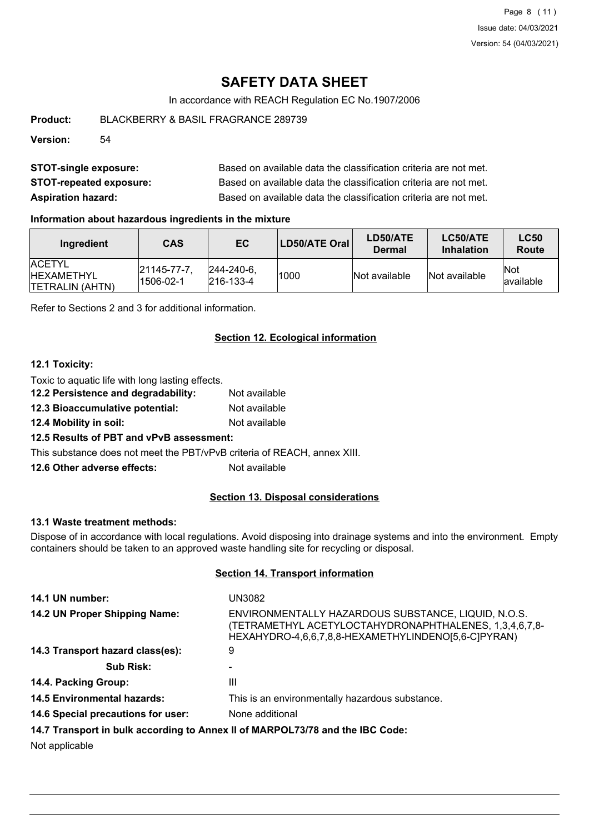# **SAFETY DATA SHEET**

In accordance with REACH Regulation EC No.1907/2006

**Product:** BLACKBERRY & BASIL FRAGRANCE 289739

**Version:** 54

| <b>STOT-single exposure:</b>   | Based on available data the classification criteria are not met. |
|--------------------------------|------------------------------------------------------------------|
| <b>STOT-repeated exposure:</b> | Based on available data the classification criteria are not met. |
| <b>Aspiration hazard:</b>      | Based on available data the classification criteria are not met. |

### **Information about hazardous ingredients in the mixture**

| Ingredient                                                      | CAS                             | EC.                                    | LD50/ATE Oral | LD50/ATE<br>Dermal | LC50/ATE<br><b>Inhalation</b> | <b>LC50</b><br><b>Route</b> |
|-----------------------------------------------------------------|---------------------------------|----------------------------------------|---------------|--------------------|-------------------------------|-----------------------------|
| <b>IACETYL</b><br><b>IHEXAMETHYL</b><br><b>ITETRALIN (AHTN)</b> | $ 21145 - 77 - 7 $<br>1506-02-1 | $ 244 - 240 - 6 $<br>$ 216 - 133 - 4 $ | 1000          | Not available      | Not available                 | <b>Not</b><br>lavailable    |

Refer to Sections 2 and 3 for additional information.

### **Section 12. Ecological information**

#### **12.1 Toxicity:**

Toxic to aquatic life with long lasting effects. **12.2 Persistence and degradability:** Not available

- 
- **12.3 Bioaccumulative potential:** Not available
- **12.4 Mobility in soil:** Not available

**12.5 Results of PBT and vPvB assessment:**

This substance does not meet the PBT/vPvB criteria of REACH, annex XIII.

**12.6 Other adverse effects:** Not available

#### **Section 13. Disposal considerations**

#### **13.1 Waste treatment methods:**

Dispose of in accordance with local regulations. Avoid disposing into drainage systems and into the environment. Empty containers should be taken to an approved waste handling site for recycling or disposal.

#### **Section 14. Transport information**

| 14.1 UN number:                                                               | UN3082                                                                                                                                                               |  |
|-------------------------------------------------------------------------------|----------------------------------------------------------------------------------------------------------------------------------------------------------------------|--|
| 14.2 UN Proper Shipping Name:                                                 | ENVIRONMENTALLY HAZARDOUS SUBSTANCE, LIQUID, N.O.S.<br>(TETRAMETHYL ACETYLOCTAHYDRONAPHTHALENES, 1,3,4,6,7,8-<br>HEXAHYDRO-4,6,6,7,8,8-HEXAMETHYLINDENO[5,6-C]PYRAN) |  |
| 14.3 Transport hazard class(es):                                              | 9                                                                                                                                                                    |  |
| <b>Sub Risk:</b>                                                              |                                                                                                                                                                      |  |
| 14.4. Packing Group:                                                          | Ш                                                                                                                                                                    |  |
| <b>14.5 Environmental hazards:</b>                                            | This is an environmentally hazardous substance.                                                                                                                      |  |
| 14.6 Special precautions for user:                                            | None additional                                                                                                                                                      |  |
| 14.7 Transport in bulk according to Annex II of MARPOL73/78 and the IBC Code: |                                                                                                                                                                      |  |
|                                                                               |                                                                                                                                                                      |  |

Not applicable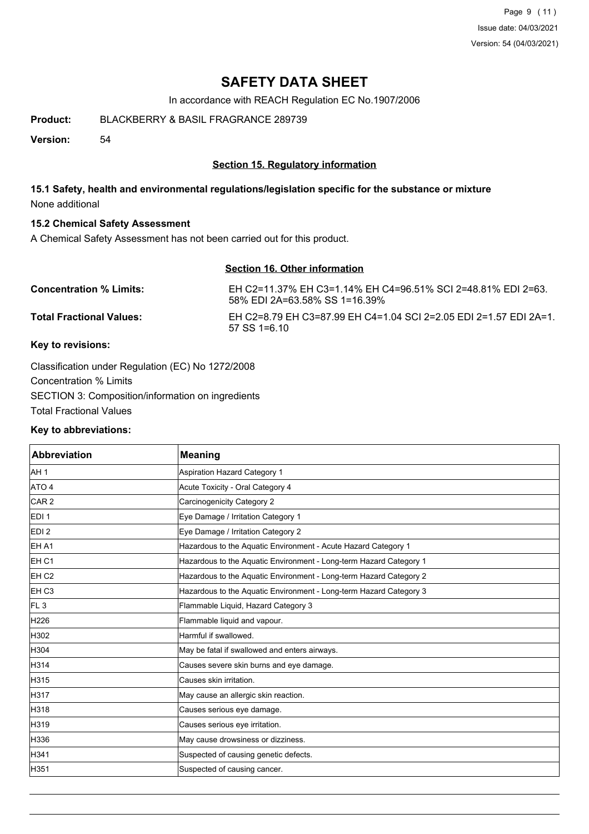Page 9 (11) Issue date: 04/03/2021 Version: 54 (04/03/2021)

# **SAFETY DATA SHEET**

In accordance with REACH Regulation EC No.1907/2006

**Product:** BLACKBERRY & BASIL FRAGRANCE 289739

**Version:** 54

### **Section 15. Regulatory information**

## **15.1 Safety, health and environmental regulations/legislation specific for the substance or mixture** None additional

### **15.2 Chemical Safety Assessment**

A Chemical Safety Assessment has not been carried out for this product.

## **Section 16. Other information**

| <b>Concentration % Limits:</b>  | EH C2=11.37% EH C3=1.14% EH C4=96.51% SCI 2=48.81% EDI 2=63.<br>58% EDI 2A=63.58% SS 1=16.39% |
|---------------------------------|-----------------------------------------------------------------------------------------------|
| <b>Total Fractional Values:</b> | FH C2=8 79 FH C3=87 99 FH C4=1 04 SCL2=2 05 FDL2=1 57 FDL2A=1<br>$57$ SS 1=6.10               |

## **Key to revisions:**

Classification under Regulation (EC) No 1272/2008 Concentration % Limits SECTION 3: Composition/information on ingredients Total Fractional Values

#### **Key to abbreviations:**

| <b>Abbreviation</b> | <b>Meaning</b>                                                     |
|---------------------|--------------------------------------------------------------------|
| AH <sub>1</sub>     | Aspiration Hazard Category 1                                       |
| ATO 4               | Acute Toxicity - Oral Category 4                                   |
| CAR <sub>2</sub>    | Carcinogenicity Category 2                                         |
| EDI <sub>1</sub>    | Eye Damage / Irritation Category 1                                 |
| EDI <sub>2</sub>    | Eye Damage / Irritation Category 2                                 |
| EH A1               | Hazardous to the Aquatic Environment - Acute Hazard Category 1     |
| EH <sub>C1</sub>    | Hazardous to the Aquatic Environment - Long-term Hazard Category 1 |
| EH <sub>C2</sub>    | Hazardous to the Aquatic Environment - Long-term Hazard Category 2 |
| EH <sub>C3</sub>    | Hazardous to the Aquatic Environment - Long-term Hazard Category 3 |
| IFL 3               | Flammable Liquid, Hazard Category 3                                |
| H226                | Flammable liquid and vapour.                                       |
| H302                | Harmful if swallowed.                                              |
| H304                | May be fatal if swallowed and enters airways.                      |
| H314                | Causes severe skin burns and eye damage.                           |
| H315                | Causes skin irritation.                                            |
| H317                | May cause an allergic skin reaction.                               |
| H318                | Causes serious eye damage.                                         |
| H319                | Causes serious eye irritation.                                     |
| H336                | May cause drowsiness or dizziness.                                 |
| H341                | Suspected of causing genetic defects.                              |
| H351                | Suspected of causing cancer.                                       |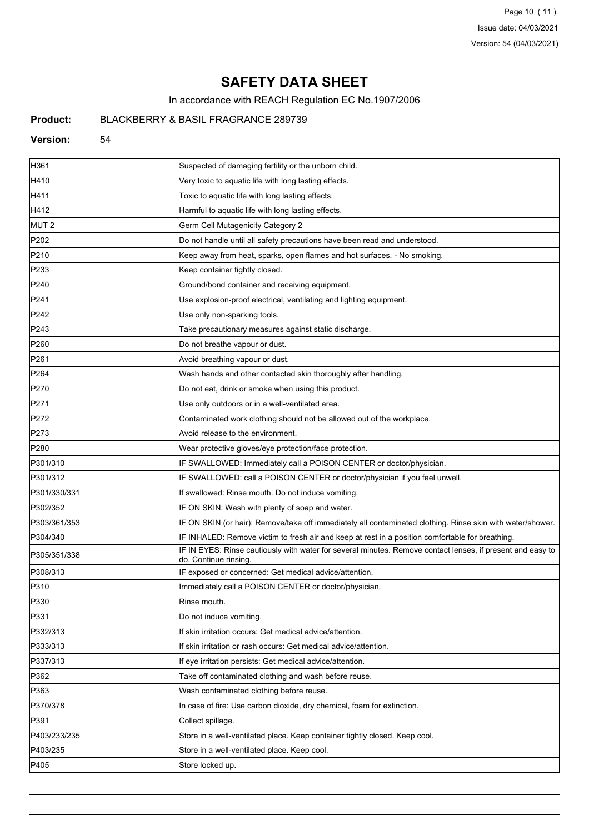Page 10 (11) Issue date: 04/03/2021 Version: 54 (04/03/2021)

# **SAFETY DATA SHEET**

In accordance with REACH Regulation EC No.1907/2006

## **Product:** BLACKBERRY & BASIL FRAGRANCE 289739

#### **Version:** 54

| H361             | Suspected of damaging fertility or the unborn child.                                                                               |
|------------------|------------------------------------------------------------------------------------------------------------------------------------|
| H410             | Very toxic to aquatic life with long lasting effects.                                                                              |
| H411             | Toxic to aquatic life with long lasting effects.                                                                                   |
| H412             | Harmful to aquatic life with long lasting effects.                                                                                 |
| MUT <sub>2</sub> | Germ Cell Mutagenicity Category 2                                                                                                  |
| P202             | Do not handle until all safety precautions have been read and understood.                                                          |
| P210             | Keep away from heat, sparks, open flames and hot surfaces. - No smoking.                                                           |
| P233             | Keep container tightly closed.                                                                                                     |
| P240             | Ground/bond container and receiving equipment.                                                                                     |
| P241             | Use explosion-proof electrical, ventilating and lighting equipment.                                                                |
| P242             | Use only non-sparking tools.                                                                                                       |
| P243             | Take precautionary measures against static discharge.                                                                              |
| P260             | Do not breathe vapour or dust.                                                                                                     |
| P261             | Avoid breathing vapour or dust.                                                                                                    |
| P264             | Wash hands and other contacted skin thoroughly after handling.                                                                     |
| P270             | Do not eat, drink or smoke when using this product.                                                                                |
| P271             | Use only outdoors or in a well-ventilated area.                                                                                    |
| P272             | Contaminated work clothing should not be allowed out of the workplace.                                                             |
| P273             | Avoid release to the environment.                                                                                                  |
| P280             | Wear protective gloves/eye protection/face protection.                                                                             |
| P301/310         | IF SWALLOWED: Immediately call a POISON CENTER or doctor/physician.                                                                |
| P301/312         | IF SWALLOWED: call a POISON CENTER or doctor/physician if you feel unwell.                                                         |
| P301/330/331     | If swallowed: Rinse mouth. Do not induce vomiting.                                                                                 |
| P302/352         | IF ON SKIN: Wash with plenty of soap and water.                                                                                    |
| P303/361/353     | IF ON SKIN (or hair): Remove/take off immediately all contaminated clothing. Rinse skin with water/shower.                         |
| P304/340         | IF INHALED: Remove victim to fresh air and keep at rest in a position comfortable for breathing.                                   |
| P305/351/338     | IF IN EYES: Rinse cautiously with water for several minutes. Remove contact lenses, if present and easy to<br>do. Continue rinsing |
| P308/313         | IF exposed or concerned: Get medical advice/attention.                                                                             |
| P310             | Immediately call a POISON CENTER or doctor/physician.                                                                              |
| P330             | Rinse mouth.                                                                                                                       |
| P331             | Do not induce vomiting.                                                                                                            |
| P332/313         | If skin irritation occurs: Get medical advice/attention.                                                                           |
| P333/313         | If skin irritation or rash occurs: Get medical advice/attention.                                                                   |
| P337/313         | If eye irritation persists: Get medical advice/attention.                                                                          |
| P362             | Take off contaminated clothing and wash before reuse.                                                                              |
| P363             | Wash contaminated clothing before reuse.                                                                                           |
| P370/378         | In case of fire: Use carbon dioxide, dry chemical, foam for extinction.                                                            |
| P391             | Collect spillage.                                                                                                                  |
| P403/233/235     | Store in a well-ventilated place. Keep container tightly closed. Keep cool.                                                        |
| P403/235         | Store in a well-ventilated place. Keep cool.                                                                                       |
| P405             | Store locked up.                                                                                                                   |
|                  |                                                                                                                                    |